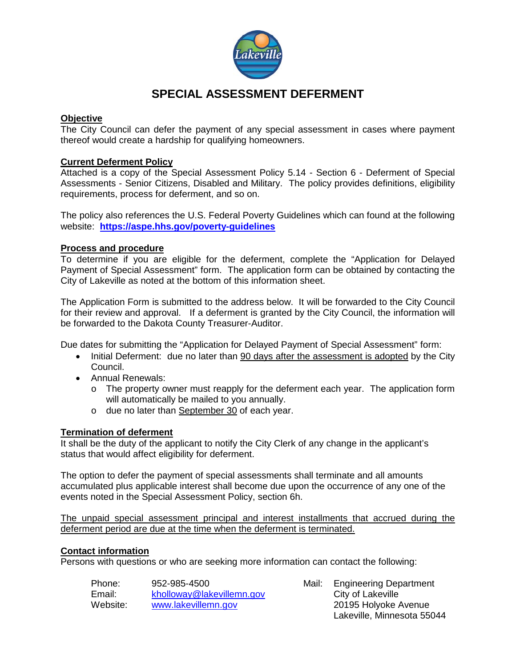

# **SPECIAL ASSESSMENT DEFERMENT**

#### **Objective**

The City Council can defer the payment of any special assessment in cases where payment thereof would create a hardship for qualifying homeowners.

#### **Current Deferment Policy**

Attached is a copy of the Special Assessment Policy 5.14 - Section 6 - Deferment of Special Assessments - Senior Citizens, Disabled and Military. The policy provides definitions, eligibility requirements, process for deferment, and so on.

The policy also references the U.S. Federal Poverty Guidelines which can found at the following website: **<https://aspe.hhs.gov/poverty-guidelines>**

#### **Process and procedure**

To determine if you are eligible for the deferment, complete the "Application for Delayed Payment of Special Assessment" form. The application form can be obtained by contacting the City of Lakeville as noted at the bottom of this information sheet.

The Application Form is submitted to the address below. It will be forwarded to the City Council for their review and approval. If a deferment is granted by the City Council, the information will be forwarded to the Dakota County Treasurer-Auditor.

Due dates for submitting the "Application for Delayed Payment of Special Assessment" form:

- Initial Deferment: due no later than 90 days after the assessment is adopted by the City Council.
- Annual Renewals:
	- o The property owner must reapply for the deferment each year. The application form will automatically be mailed to you annually.
	- o due no later than September 30 of each year.

#### **Termination of deferment**

It shall be the duty of the applicant to notify the City Clerk of any change in the applicant's status that would affect eligibility for deferment.

The option to defer the payment of special assessments shall terminate and all amounts accumulated plus applicable interest shall become due upon the occurrence of any one of the events noted in the Special Assessment Policy, section 6h.

The unpaid special assessment principal and interest installments that accrued during the deferment period are due at the time when the deferment is terminated.

#### **Contact information**

Persons with questions or who are seeking more information can contact the following:

| Phone:   | 952-985-4500              |
|----------|---------------------------|
| Email:   | kholloway@lakevillemn.gov |
| Website: | www.lakevillemn.gov       |

Mail: Engineering Department City of Lakeville 20195 Holyoke Avenue Lakeville, Minnesota 55044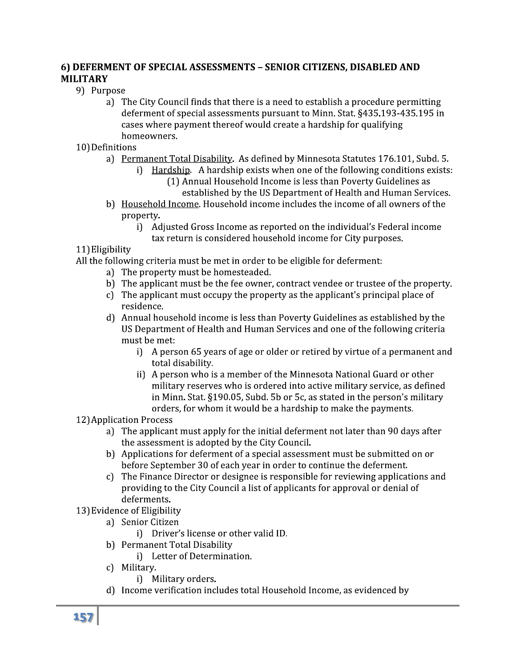## 6) DEFERMENT OF SPECIAL ASSESSMENTS - SENIOR CITIZENS, DISABLED AND **MILITARY**

- 9) Purpose
	- a) The City Council finds that there is a need to establish a procedure permitting deferment of special assessments pursuant to Minn. Stat. §435.193-435.195 in cases where payment thereof would create a hardship for qualifying homeowners.
- 10) Definitions
	- a) Permanent Total Disability. As defined by Minnesota Statutes 176.101, Subd. 5.
		- i) Hardship. A hardship exists when one of the following conditions exists: (1) Annual Household Income is less than Poverty Guidelines as
			- established by the US Department of Health and Human Services.
	- b) Household Income. Household income includes the income of all owners of the property
		- i) Adjusted Gross Income as reported on the individual's Federal income tax return is considered household income for City purposes.

11) Eligibility

All the following criteria must be met in order to be eligible for deferment:

- a) The property must be homesteaded.
- b) The applicant must be the fee owner, contract vendee or trustee of the property.
- c) The applicant must occupy the property as the applicant's principal place of residence
- d) Annual household income is less than Poverty Guidelines as established by the US Department of Health and Human Services and one of the following criteria must be met:
	- i) A person 65 years of age or older or retired by virtue of a permanent and total disability.
	- ii) A person who is a member of the Minnesota National Guard or other military reserves who is ordered into active military service, as defined in Minn. Stat. §190.05, Subd. 5b or 5c, as stated in the person's military orders, for whom it would be a hardship to make the payments.

## 12) Application Process

- a) The applicant must apply for the initial deferment not later than 90 days after the assessment is adopted by the City Council.
- b) Applications for deferment of a special assessment must be submitted on or before September 30 of each year in order to continue the deferment.
- c) The Finance Director or designee is responsible for reviewing applications and providing to the City Council a list of applicants for approval or denial of deferments.
- 13) Evidence of Eligibility
	- a) Senior Citizen
		- i) Driver's license or other valid ID.
	- b) Permanent Total Disability
		- i) Letter of Determination.
	- c) Military
		- i) Military orders.
	- d) Income verification includes total Household Income, as evidenced by